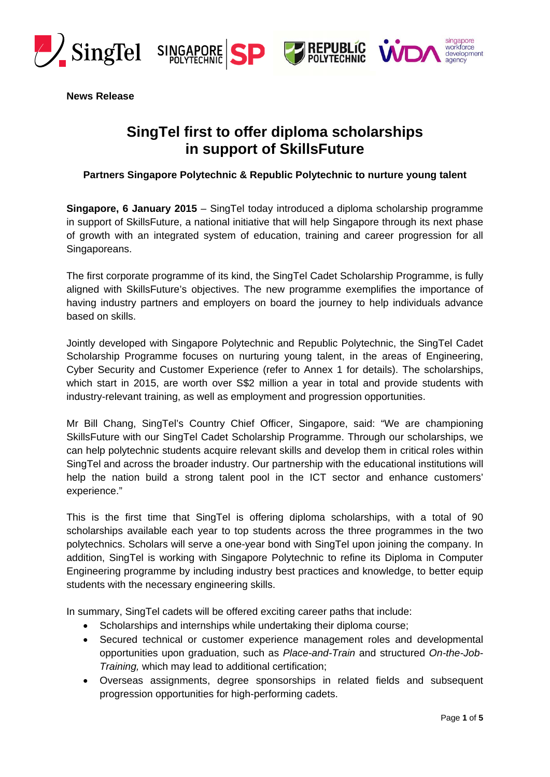







**News Release** 

# **SingTel first to offer diploma scholarships in support of SkillsFuture**

**Partners Singapore Polytechnic & Republic Polytechnic to nurture young talent** 

**Singapore, 6 January 2015** – SingTel today introduced a diploma scholarship programme in support of SkillsFuture, a national initiative that will help Singapore through its next phase of growth with an integrated system of education, training and career progression for all Singaporeans.

The first corporate programme of its kind, the SingTel Cadet Scholarship Programme, is fully aligned with SkillsFuture's objectives. The new programme exemplifies the importance of having industry partners and employers on board the journey to help individuals advance based on skills.

Jointly developed with Singapore Polytechnic and Republic Polytechnic, the SingTel Cadet Scholarship Programme focuses on nurturing young talent, in the areas of Engineering, Cyber Security and Customer Experience (refer to Annex 1 for details). The scholarships, which start in 2015, are worth over S\$2 million a year in total and provide students with industry-relevant training, as well as employment and progression opportunities.

Mr Bill Chang, SingTel's Country Chief Officer, Singapore, said: "We are championing SkillsFuture with our SingTel Cadet Scholarship Programme. Through our scholarships, we can help polytechnic students acquire relevant skills and develop them in critical roles within SingTel and across the broader industry. Our partnership with the educational institutions will help the nation build a strong talent pool in the ICT sector and enhance customers' experience."

This is the first time that SingTel is offering diploma scholarships, with a total of 90 scholarships available each year to top students across the three programmes in the two polytechnics. Scholars will serve a one-year bond with SingTel upon joining the company. In addition, SingTel is working with Singapore Polytechnic to refine its Diploma in Computer Engineering programme by including industry best practices and knowledge, to better equip students with the necessary engineering skills.

In summary, SingTel cadets will be offered exciting career paths that include:

- Scholarships and internships while undertaking their diploma course;
- Secured technical or customer experience management roles and developmental opportunities upon graduation, such as *Place-and-Train* and structured *On-the-Job-Training,* which may lead to additional certification;
- Overseas assignments, degree sponsorships in related fields and subsequent progression opportunities for high-performing cadets.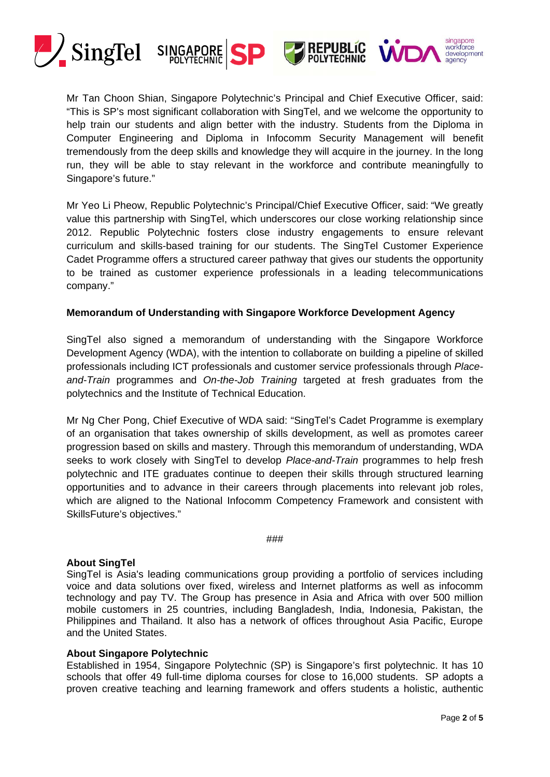





Mr Tan Choon Shian, Singapore Polytechnic's Principal and Chief Executive Officer, said: "This is SP's most significant collaboration with SingTel, and we welcome the opportunity to help train our students and align better with the industry. Students from the Diploma in Computer Engineering and Diploma in Infocomm Security Management will benefit tremendously from the deep skills and knowledge they will acquire in the journey. In the long run, they will be able to stay relevant in the workforce and contribute meaningfully to Singapore's future."

Mr Yeo Li Pheow, Republic Polytechnic's Principal/Chief Executive Officer, said: "We greatly value this partnership with SingTel, which underscores our close working relationship since 2012. Republic Polytechnic fosters close industry engagements to ensure relevant curriculum and skills-based training for our students. The SingTel Customer Experience Cadet Programme offers a structured career pathway that gives our students the opportunity to be trained as customer experience professionals in a leading telecommunications company."

### **Memorandum of Understanding with Singapore Workforce Development Agency**

SingTel also signed a memorandum of understanding with the Singapore Workforce Development Agency (WDA), with the intention to collaborate on building a pipeline of skilled professionals including ICT professionals and customer service professionals through *Placeand-Train* programmes and *On-the-Job Training* targeted at fresh graduates from the polytechnics and the Institute of Technical Education.

Mr Ng Cher Pong, Chief Executive of WDA said: "SingTel's Cadet Programme is exemplary of an organisation that takes ownership of skills development, as well as promotes career progression based on skills and mastery. Through this memorandum of understanding, WDA seeks to work closely with SingTel to develop *Place-and-Train* programmes to help fresh polytechnic and ITE graduates continue to deepen their skills through structured learning opportunities and to advance in their careers through placements into relevant job roles, which are aligned to the National Infocomm Competency Framework and consistent with SkillsFuture's objectives."

#### ###

#### **About SingTel**

SingTel is Asia's leading communications group providing a portfolio of services including voice and data solutions over fixed, wireless and Internet platforms as well as infocomm technology and pay TV. The Group has presence in Asia and Africa with over 500 million mobile customers in 25 countries, including Bangladesh, India, Indonesia, Pakistan, the Philippines and Thailand. It also has a network of offices throughout Asia Pacific, Europe and the United States.

#### **About Singapore Polytechnic**

Established in 1954, Singapore Polytechnic (SP) is Singapore's first polytechnic. It has 10 schools that offer 49 full-time diploma courses for close to 16,000 students. SP adopts a proven creative teaching and learning framework and offers students a holistic, authentic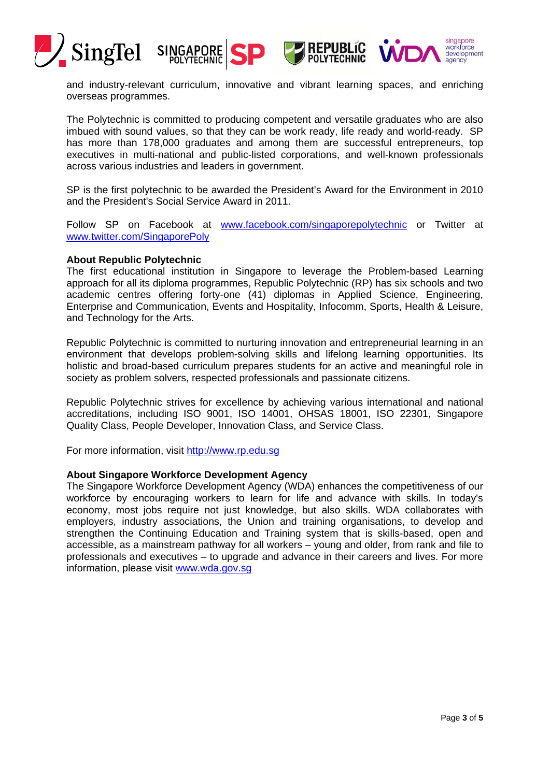





and industry-relevant curriculum, innovative and vibrant learning spaces, and enriching overseas programmes.

The Polytechnic is committed to producing competent and versatile graduates who are also imbued with sound values, so that they can be work ready, life ready and world-ready. SP has more than 178,000 graduates and among them are successful entrepreneurs, top executives in multi-national and public-listed corporations, and well-known professionals across various industries and leaders in government.

SP is the first polytechnic to be awarded the President's Award for the Environment in 2010 and the President's Social Service Award in 2011.

Follow SP on Facebook at www.facebook.com/singaporepolytechnic or Twitter at www.twitter.com/SingaporePoly

#### **About Republic Polytechnic**

The first educational institution in Singapore to leverage the Problem-based Learning approach for all its diploma programmes, Republic Polytechnic (RP) has six schools and two academic centres offering forty-one (41) diplomas in Applied Science, Engineering, Enterprise and Communication, Events and Hospitality, Infocomm, Sports, Health & Leisure, and Technology for the Arts.

Republic Polytechnic is committed to nurturing innovation and entrepreneurial learning in an environment that develops problem-solving skills and lifelong learning opportunities. Its holistic and broad-based curriculum prepares students for an active and meaningful role in society as problem solvers, respected professionals and passionate citizens.

Republic Polytechnic strives for excellence by achieving various international and national accreditations, including ISO 9001, ISO 14001, OHSAS 18001, ISO 22301, Singapore Quality Class, People Developer, Innovation Class, and Service Class.

For more information, visit http://www.rp.edu.sg

#### **About Singapore Workforce Development Agency**

The Singapore Workforce Development Agency (WDA) enhances the competitiveness of our workforce by encouraging workers to learn for life and advance with skills. In today's economy, most jobs require not just knowledge, but also skills. WDA collaborates with employers, industry associations, the Union and training organisations, to develop and strengthen the Continuing Education and Training system that is skills-based, open and accessible, as a mainstream pathway for all workers – young and older, from rank and file to professionals and executives – to upgrade and advance in their careers and lives. For more information, please visit www.wda.gov.sg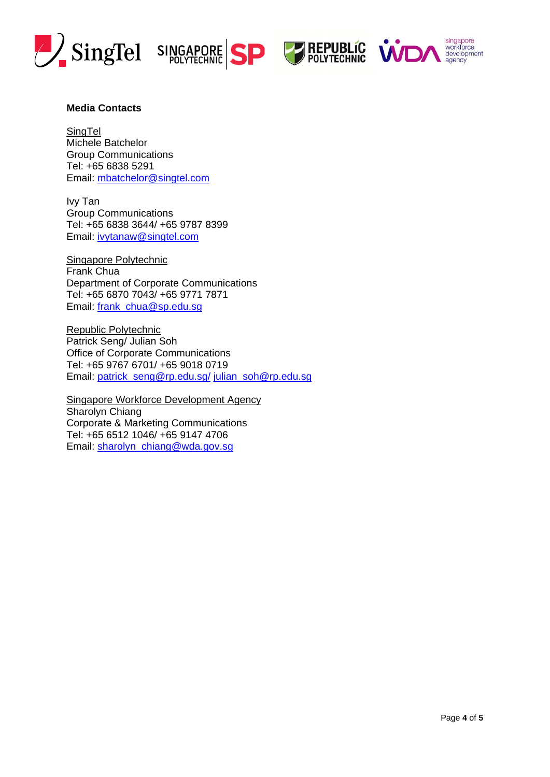







### **Media Contacts**

**SingTel** Michele Batchelor Group Communications Tel: +65 6838 5291 Email: mbatchelor@singtel.com

Ivy Tan Group Communications Tel: +65 6838 3644/ +65 9787 8399 Email: ivytanaw@singtel.com

Singapore Polytechnic Frank Chua Department of Corporate Communications Tel: +65 6870 7043/ +65 9771 7871 Email: frank\_chua@sp.edu.sg

Republic Polytechnic Patrick Seng/ Julian Soh Office of Corporate Communications Tel: +65 9767 6701/ +65 9018 0719 Email: patrick\_seng@rp.edu.sg/ julian\_soh@rp.edu.sg

Singapore Workforce Development Agency Sharolyn Chiang Corporate & Marketing Communications Tel: +65 6512 1046/ +65 9147 4706 Email: sharolyn\_chiang@wda.gov.sg